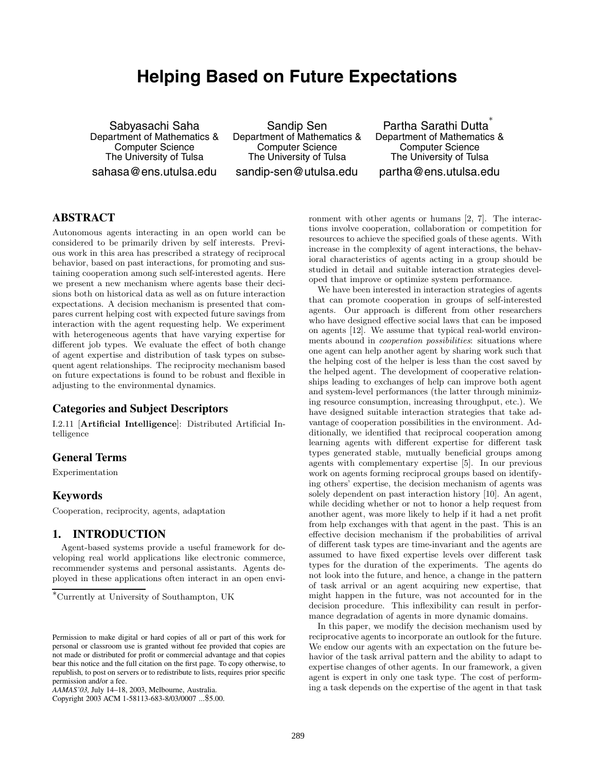## **Helping Based on Future Expectations**

Sabyasachi Saha Department of Mathematics & Computer Science The University of Tulsa sahasa@ens.utulsa.edu

Sandip Sen Department of Mathematics & Computer Science The University of Tulsa sandip-sen@utulsa.edu

Partha Sarathi Dutta Department of Mathematics & Computer Science The University of Tulsa partha@ens.utulsa.edu

#### **ABSTRACT**

Autonomous agents interacting in an open world can be considered to be primarily driven by self interests. Previous work in this area has prescribed a strategy of reciprocal behavior, based on past interactions, for promoting and sustaining cooperation among such self-interested agents. Here we present a new mechanism where agents base their decisions both on historical data as well as on future interaction expectations. A decision mechanism is presented that compares current helping cost with expected future savings from interaction with the agent requesting help. We experiment with heterogeneous agents that have varying expertise for different job types. We evaluate the effect of both change of agent expertise and distribution of task types on subsequent agent relationships. The reciprocity mechanism based on future expectations is found to be robust and flexible in adjusting to the environmental dynamics.

#### **Categories and Subject Descriptors**

I.2.11 [**Artificial Intelligence**]: Distributed Artificial Intelligence

#### **General Terms**

Experimentation

#### **Keywords**

Cooperation, reciprocity, agents, adaptation

#### **1. INTRODUCTION**

Agent-based systems provide a useful framework for developing real world applications like electronic commerce, recommender systems and personal assistants. Agents deployed in these applications often interact in an open envi-

Copyright 2003 ACM 1-58113-683-8/03/0007 ...\$5.00.

ronment with other agents or humans [2, 7]. The interactions involve cooperation, collaboration or competition for resources to achieve the specified goals of these agents. With increase in the complexity of agent interactions, the behavioral characteristics of agents acting in a group should be studied in detail and suitable interaction strategies developed that improve or optimize system performance.

We have been interested in interaction strategies of agents that can promote cooperation in groups of self-interested agents. Our approach is different from other researchers who have designed effective social laws that can be imposed on agents [12]. We assume that typical real-world environments abound in *cooperation possibilities*: situations where one agent can help another agent by sharing work such that the helping cost of the helper is less than the cost saved by the helped agent. The development of cooperative relationships leading to exchanges of help can improve both agent and system-level performances (the latter through minimizing resource consumption, increasing throughput, etc.). We have designed suitable interaction strategies that take advantage of cooperation possibilities in the environment. Additionally, we identified that reciprocal cooperation among learning agents with different expertise for different task types generated stable, mutually beneficial groups among agents with complementary expertise [5]. In our previous work on agents forming reciprocal groups based on identifying others' expertise, the decision mechanism of agents was solely dependent on past interaction history [10]. An agent, while deciding whether or not to honor a help request from another agent, was more likely to help if it had a net profit from help exchanges with that agent in the past. This is an effective decision mechanism if the probabilities of arrival of different task types are time-invariant and the agents are assumed to have fixed expertise levels over different task types for the duration of the experiments. The agents do not look into the future, and hence, a change in the pattern of task arrival or an agent acquiring new expertise, that might happen in the future, was not accounted for in the decision procedure. This inflexibility can result in performance degradation of agents in more dynamic domains.

In this paper, we modify the decision mechanism used by reciprocative agents to incorporate an outlook for the future. We endow our agents with an expectation on the future behavior of the task arrival pattern and the ability to adapt to expertise changes of other agents. In our framework, a given agent is expert in only one task type. The cost of performing a task depends on the expertise of the agent in that task

<sup>∗</sup>Currently at University of Southampton, UK

Permission to make digital or hard copies of all or part of this work for personal or classroom use is granted without fee provided that copies are not made or distributed for profit or commercial advantage and that copies bear this notice and the full citation on the first page. To copy otherwise, to republish, to post on servers or to redistribute to lists, requires prior specific permission and/or a fee.

*AAMAS'03,* July 14–18, 2003, Melbourne, Australia.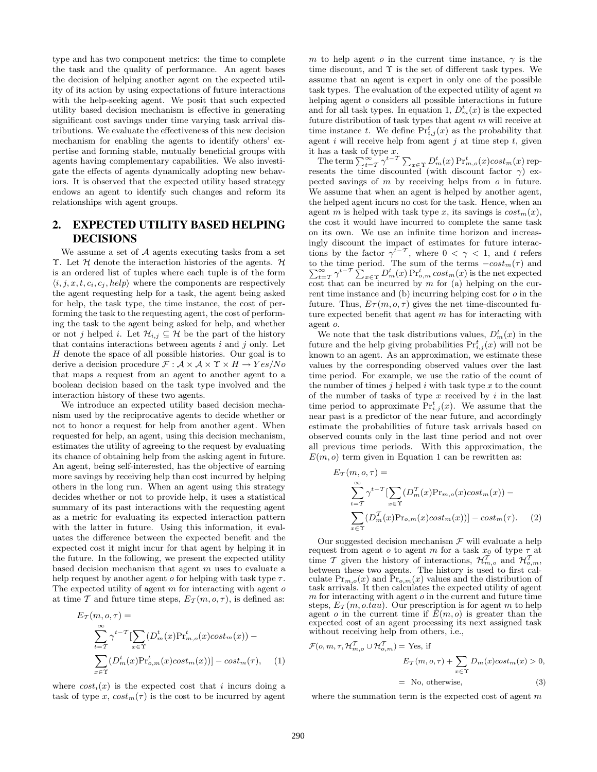type and has two component metrics: the time to complete the task and the quality of performance. An agent bases the decision of helping another agent on the expected utility of its action by using expectations of future interactions with the help-seeking agent. We posit that such expected utility based decision mechanism is effective in generating significant cost savings under time varying task arrival distributions. We evaluate the effectiveness of this new decision mechanism for enabling the agents to identify others' expertise and forming stable, mutually beneficial groups with agents having complementary capabilities. We also investigate the effects of agents dynamically adopting new behaviors. It is observed that the expected utility based strategy endows an agent to identify such changes and reform its relationships with agent groups.

### **2. EXPECTED UTILITY BASED HELPING DECISIONS**

We assume a set of  $A$  agents executing tasks from a set Υ. Let  $H$  denote the interaction histories of the agents.  $H$ is an ordered list of tuples where each tuple is of the form  $\langle i, j, x, t, c_i, c_j, help \rangle$  where the components are respectively the agent requesting help for a task, the agent being asked for help, the task type, the time instance, the cost of performing the task to the requesting agent, the cost of performing the task to the agent being asked for help, and whether or not j helped i. Let  $\mathcal{H}_{i,j} \subseteq \mathcal{H}$  be the part of the history that contains interactions between agents  $i$  and  $j$  only. Let H denote the space of all possible histories. Our goal is to derive a decision procedure  $\mathcal{F} : \mathcal{A} \times \mathcal{A} \times \Upsilon \times H \rightarrow Yes/No$ that maps a request from an agent to another agent to a boolean decision based on the task type involved and the interaction history of these two agents.

We introduce an expected utility based decision mechanism used by the reciprocative agents to decide whether or not to honor a request for help from another agent. When requested for help, an agent, using this decision mechanism, estimates the utility of agreeing to the request by evaluating its chance of obtaining help from the asking agent in future. An agent, being self-interested, has the objective of earning more savings by receiving help than cost incurred by helping others in the long run. When an agent using this strategy decides whether or not to provide help, it uses a statistical summary of its past interactions with the requesting agent as a metric for evaluating its expected interaction pattern with the latter in future. Using this information, it evaluates the difference between the expected benefit and the expected cost it might incur for that agent by helping it in the future. In the following, we present the expected utility based decision mechanism that agent  $m$  uses to evaluate a help request by another agent  $o$  for helping with task type  $\tau$ . The expected utility of agent  $m$  for interacting with agent  $o$ at time T and future time steps,  $E_T(m, o, \tau)$ , is defined as:

$$
E_{\mathcal{T}}(m, o, \tau) =
$$
  
\n
$$
\sum_{t=\mathcal{T}}^{\infty} \gamma^{t-\mathcal{T}} \left[ \sum_{x \in \Upsilon} (D_m^t(x) \Pr_{m,o}^t(x) \cos t_m(x)) - \sum_{x \in \Upsilon} (D_m^t(x) \Pr_{o,m}^t(x) \cos t_m(x)) \right] - \cos t_m(\tau), \quad (1)
$$

where  $cost_i(x)$  is the expected cost that i incurs doing a task of type x,  $cost_m(\tau)$  is the cost to be incurred by agent m to help agent o in the current time instance,  $\gamma$  is the time discount, and Υ is the set of different task types. We assume that an agent is expert in only one of the possible task types. The evaluation of the expected utility of agent  $m$ helping agent *o* considers all possible interactions in future and for all task types. In equation 1,  $D_m^t(x)$  is the expected future distribution of task types that agent  $m$  will receive at time instance t. We define  $Pr_{i,j}^t(x)$  as the probability that agent i will receive help from agent j at time step  $t$ , given it has a task of type x.

The term  $\sum_{t=T}^{\infty} \gamma^{t-T} \sum_{x \in \Upsilon} D_m^t(x) \Pr_{m,o}^t(x) cost_m(x)$  represents the time discounted (with discount factor  $\gamma$ ) expected savings of m by receiving helps from o in future. We assume that when an agent is helped by another agent, the helped agent incurs no cost for the task. Hence, when an agent m is helped with task type x, its savings is  $cost_m(x)$ , the cost it would have incurred to complete the same task on its own. We use an infinite time horizon and increasingly discount the impact of estimates for future interactions by the factor  $\gamma^{t-T}$ , where  $0 < \gamma < 1$ , and t refers to the time period. The sum of the terms  $-cost_m(\tau)$  and  $\sum_{t=\tau}^{\infty} \gamma^{t-T} \sum_{x \in \Upsilon} D_m^t(x) P_{\tau_{o,m}}^t cost_m(x)$  is the net expected cost that can be incurred by  $m$  for (a) helping on the current time instance and  $(b)$  incurring helping cost for  $o$  in the future. Thus,  $E_{\mathcal{T}}(m, o, \tau)$  gives the net time-discounted future expected benefit that agent m has for interacting with agent o.

We note that the task distributions values,  $D_m^t(x)$  in the future and the help giving probabilities  $Pr_{i,j}^{t}(x)$  will not be known to an agent. As an approximation, we estimate these values by the corresponding observed values over the last time period. For example, we use the ratio of the count of the number of times  $j$  helped  $i$  with task type  $x$  to the count of the number of tasks of type  $x$  received by  $i$  in the last time period to approximate  $Pr_{i,j}^{t}(x)$ . We assume that the near past is a predictor of the near future, and accordingly estimate the probabilities of future task arrivals based on observed counts only in the last time period and not over all previous time periods. With this approximation, the  $E(m, o)$  term given in Equation 1 can be rewritten as:

$$
E_{\mathcal{T}}(m, o, \tau) =
$$
  
\n
$$
\sum_{t=\mathcal{T}}^{\infty} \gamma^{t-\mathcal{T}} \left[ \sum_{x \in \Upsilon} (D_m^{\mathcal{T}}(x) \Pr_{m, o}(x) \cos t_m(x)) - \sum_{x \in \Upsilon} (D_m^{\mathcal{T}}(x) \Pr_{o, m}(x) \cos t_m(x)) \right] - \cos t_m(\tau). \tag{2}
$$

Our suggested decision mechanism  $\mathcal F$  will evaluate a help request from agent o to agent m for a task  $x_0$  of type  $\tau$  at time T given the history of interactions,  $\mathcal{H}_{m,o}^T$  and  $\mathcal{H}_{o,m}^T$ , between these two agents. The history is used to first calculate  $Pr_{m,o}(x)$  and  $\tilde{Pr}_{o,m}(x)$  values and the distribution of task arrivals. It then calculates the expected utility of agent  $m$  for interacting with agent  $o$  in the current and future time steps,  $E_T(m, o.tau)$ . Our prescription is for agent m to help agent o in the current time if  $E(m, o)$  is greater than the expected cost of an agent processing its next assigned task without receiving help from others, i.e.,

$$
\mathcal{F}(o, m, \tau, \mathcal{H}_{m,o}^1 \cup \mathcal{H}_{o,m}^1) = \text{Yes, if}
$$
  
\n
$$
E_{\mathcal{T}}(m, o, \tau) + \sum_{x \in \Upsilon} D_m(x) \cos t_m(x) > 0,
$$
  
\n
$$
= \text{No, otherwise,}
$$
 (3)

where the summation term is the expected cost of agent  $m$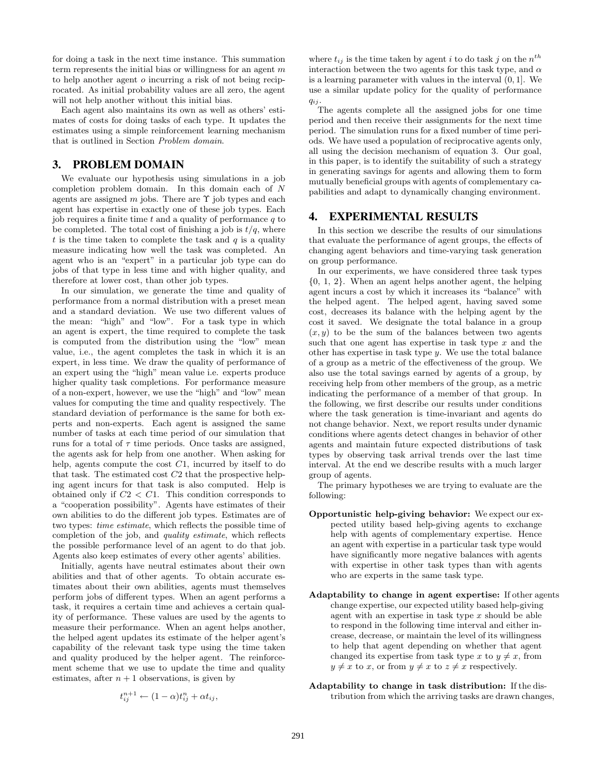for doing a task in the next time instance. This summation term represents the initial bias or willingness for an agent  $m$ to help another agent o incurring a risk of not being reciprocated. As initial probability values are all zero, the agent will not help another without this initial bias.

Each agent also maintains its own as well as others' estimates of costs for doing tasks of each type. It updates the estimates using a simple reinforcement learning mechanism that is outlined in Section *Problem domain*.

#### **3. PROBLEM DOMAIN**

We evaluate our hypothesis using simulations in a job completion problem domain. In this domain each of N agents are assigned m jobs. There are  $\Upsilon$  job types and each agent has expertise in exactly one of these job types. Each job requires a finite time  $t$  and a quality of performance  $q$  to be completed. The total cost of finishing a job is  $t/q$ , where  $t$  is the time taken to complete the task and  $q$  is a quality measure indicating how well the task was completed. An agent who is an "expert" in a particular job type can do jobs of that type in less time and with higher quality, and therefore at lower cost, than other job types.

In our simulation, we generate the time and quality of performance from a normal distribution with a preset mean and a standard deviation. We use two different values of the mean: "high" and "low". For a task type in which an agent is expert, the time required to complete the task is computed from the distribution using the "low" mean value, i.e., the agent completes the task in which it is an expert, in less time. We draw the quality of performance of an expert using the "high" mean value i.e. experts produce higher quality task completions. For performance measure of a non-expert, however, we use the "high" and "low" mean values for computing the time and quality respectively. The standard deviation of performance is the same for both experts and non-experts. Each agent is assigned the same number of tasks at each time period of our simulation that runs for a total of  $\tau$  time periods. Once tasks are assigned, the agents ask for help from one another. When asking for help, agents compute the cost C1, incurred by itself to do that task. The estimated cost C2 that the prospective helping agent incurs for that task is also computed. Help is obtained only if  $C2 < C1$ . This condition corresponds to a "cooperation possibility". Agents have estimates of their own abilities to do the different job types. Estimates are of two types: *time estimate*, which reflects the possible time of completion of the job, and *quality estimate*, which reflects the possible performance level of an agent to do that job. Agents also keep estimates of every other agents' abilities.

Initially, agents have neutral estimates about their own abilities and that of other agents. To obtain accurate estimates about their own abilities, agents must themselves perform jobs of different types. When an agent performs a task, it requires a certain time and achieves a certain quality of performance. These values are used by the agents to measure their performance. When an agent helps another, the helped agent updates its estimate of the helper agent's capability of the relevant task type using the time taken and quality produced by the helper agent. The reinforcement scheme that we use to update the time and quality estimates, after  $n+1$  observations, is given by

$$
t_{ij}^{n+1} \leftarrow (1-\alpha)t_{ij}^n + \alpha t_{ij},
$$

where  $t_{ij}$  is the time taken by agent i to do task j on the  $n^{th}$ interaction between the two agents for this task type, and  $\alpha$ is a learning parameter with values in the interval (0, 1]. We use a similar update policy for the quality of performance q*ij* .

The agents complete all the assigned jobs for one time period and then receive their assignments for the next time period. The simulation runs for a fixed number of time periods. We have used a population of reciprocative agents only, all using the decision mechanism of equation 3. Our goal, in this paper, is to identify the suitability of such a strategy in generating savings for agents and allowing them to form mutually beneficial groups with agents of complementary capabilities and adapt to dynamically changing environment.

#### **4. EXPERIMENTAL RESULTS**

In this section we describe the results of our simulations that evaluate the performance of agent groups, the effects of changing agent behaviors and time-varying task generation on group performance.

In our experiments, we have considered three task types {0, 1, 2}. When an agent helps another agent, the helping agent incurs a cost by which it increases its "balance" with the helped agent. The helped agent, having saved some cost, decreases its balance with the helping agent by the cost it saved. We designate the total balance in a group  $(x, y)$  to be the sum of the balances between two agents such that one agent has expertise in task type  $x$  and the other has expertise in task type  $y$ . We use the total balance of a group as a metric of the effectiveness of the group. We also use the total savings earned by agents of a group, by receiving help from other members of the group, as a metric indicating the performance of a member of that group. In the following, we first describe our results under conditions where the task generation is time-invariant and agents do not change behavior. Next, we report results under dynamic conditions where agents detect changes in behavior of other agents and maintain future expected distributions of task types by observing task arrival trends over the last time interval. At the end we describe results with a much larger group of agents.

The primary hypotheses we are trying to evaluate are the following:

- **Opportunistic help-giving behavior:** We expect our expected utility based help-giving agents to exchange help with agents of complementary expertise. Hence an agent with expertise in a particular task type would have significantly more negative balances with agents with expertise in other task types than with agents who are experts in the same task type.
- **Adaptability to change in agent expertise:** If other agents change expertise, our expected utility based help-giving agent with an expertise in task type  $x$  should be able to respond in the following time interval and either increase, decrease, or maintain the level of its willingness to help that agent depending on whether that agent changed its expertise from task type x to  $y \neq x$ , from  $y \neq x$  to x, or from  $y \neq x$  to  $z \neq x$  respectively.

#### **Adaptability to change in task distribution:** If the distribution from which the arriving tasks are drawn changes,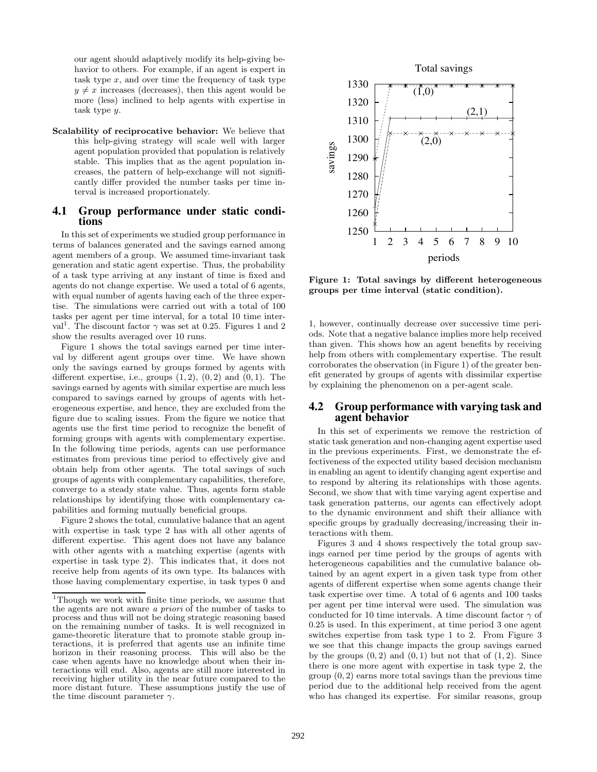our agent should adaptively modify its help-giving behavior to others. For example, if an agent is expert in task type  $x$ , and over time the frequency of task type  $y \neq x$  increases (decreases), then this agent would be more (less) inclined to help agents with expertise in task type y.

**Scalability of reciprocative behavior:** We believe that this help-giving strategy will scale well with larger agent population provided that population is relatively stable. This implies that as the agent population increases, the pattern of help-exchange will not significantly differ provided the number tasks per time interval is increased proportionately.

# **4.1 Group performance under static condi- tions**

In this set of experiments we studied group performance in terms of balances generated and the savings earned among agent members of a group. We assumed time-invariant task generation and static agent expertise. Thus, the probability of a task type arriving at any instant of time is fixed and agents do not change expertise. We used a total of 6 agents, with equal number of agents having each of the three expertise. The simulations were carried out with a total of 100 tasks per agent per time interval, for a total 10 time interval<sup>1</sup>. The discount factor  $\gamma$  was set at 0.25. Figures 1 and 2 show the results averaged over 10 runs.

Figure 1 shows the total savings earned per time interval by different agent groups over time. We have shown only the savings earned by groups formed by agents with different expertise, i.e., groups  $(1, 2)$ ,  $(0, 2)$  and  $(0, 1)$ . The savings earned by agents with similar expertise are much less compared to savings earned by groups of agents with heterogeneous expertise, and hence, they are excluded from the figure due to scaling issues. From the figure we notice that agents use the first time period to recognize the benefit of forming groups with agents with complementary expertise. In the following time periods, agents can use performance estimates from previous time period to effectively give and obtain help from other agents. The total savings of such groups of agents with complementary capabilities, therefore, converge to a steady state value. Thus, agents form stable relationships by identifying those with complementary capabilities and forming mutually beneficial groups.

Figure 2 shows the total, cumulative balance that an agent with expertise in task type 2 has with all other agents of different expertise. This agent does not have any balance with other agents with a matching expertise (agents with expertise in task type 2). This indicates that, it does not receive help from agents of its own type. Its balances with those having complementary expertise, in task types 0 and



**Figure 1: Total savings by different heterogeneous groups per time interval (static condition).**

1, however, continually decrease over successive time periods. Note that a negative balance implies more help received than given. This shows how an agent benefits by receiving help from others with complementary expertise. The result corroborates the observation (in Figure 1) of the greater benefit generated by groups of agents with dissimilar expertise by explaining the phenomenon on a per-agent scale.

#### **4.2 Group performance with varying task and agent behavior**

In this set of experiments we remove the restriction of static task generation and non-changing agent expertise used in the previous experiments. First, we demonstrate the effectiveness of the expected utility based decision mechanism in enabling an agent to identify changing agent expertise and to respond by altering its relationships with those agents. Second, we show that with time varying agent expertise and task generation patterns, our agents can effectively adopt to the dynamic environment and shift their alliance with specific groups by gradually decreasing/increasing their interactions with them.

Figures 3 and 4 shows respectively the total group savings earned per time period by the groups of agents with heterogeneous capabilities and the cumulative balance obtained by an agent expert in a given task type from other agents of different expertise when some agents change their task expertise over time. A total of 6 agents and 100 tasks per agent per time interval were used. The simulation was conducted for 10 time intervals. A time discount factor  $\gamma$  of 0.25 is used. In this experiment, at time period 3 one agent switches expertise from task type 1 to 2. From Figure 3 we see that this change impacts the group savings earned by the groups  $(0, 2)$  and  $(0, 1)$  but not that of  $(1, 2)$ . Since there is one more agent with expertise in task type 2, the  $group (0, 2)$  earns more total savings than the previous time period due to the additional help received from the agent who has changed its expertise. For similar reasons, group

<sup>1</sup>Though we work with finite time periods, we assume that the agents are not aware *a priori* of the number of tasks to process and thus will not be doing strategic reasoning based on the remaining number of tasks. It is well recognized in game-theoretic literature that to promote stable group interactions, it is preferred that agents use an infinite time horizon in their reasoning process. This will also be the case when agents have no knowledge about when their interactions will end. Also, agents are still more interested in receiving higher utility in the near future compared to the more distant future. These assumptions justify the use of the time discount parameter  $\gamma$ .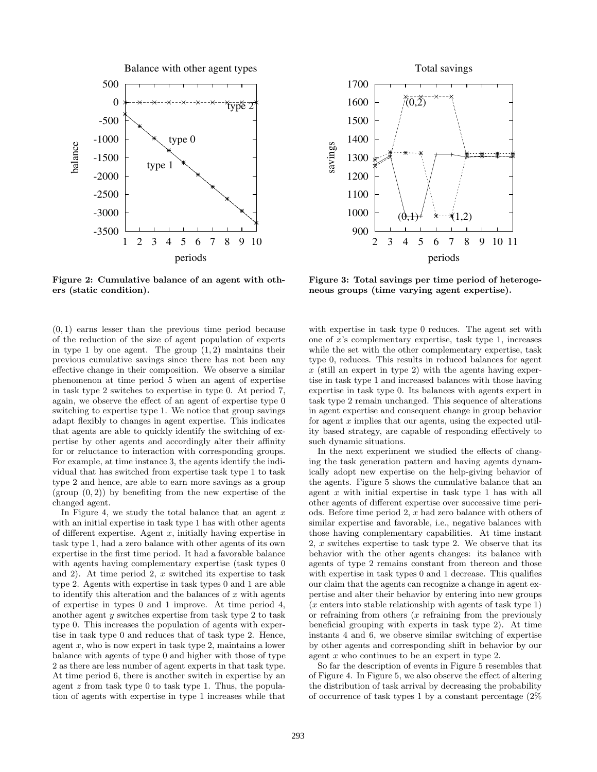

**Figure 2: Cumulative balance of an agent with others (static condition).**

(0, 1) earns lesser than the previous time period because of the reduction of the size of agent population of experts in type 1 by one agent. The group  $(1, 2)$  maintains their previous cumulative savings since there has not been any effective change in their composition. We observe a similar phenomenon at time period 5 when an agent of expertise in task type 2 switches to expertise in type 0. At period 7, again, we observe the effect of an agent of expertise type 0 switching to expertise type 1. We notice that group savings adapt flexibly to changes in agent expertise. This indicates that agents are able to quickly identify the switching of expertise by other agents and accordingly alter their affinity for or reluctance to interaction with corresponding groups. For example, at time instance 3, the agents identify the individual that has switched from expertise task type 1 to task type 2 and hence, are able to earn more savings as a group (group  $(0, 2)$ ) by benefiting from the new expertise of the changed agent.

In Figure 4, we study the total balance that an agent  $x$ with an initial expertise in task type 1 has with other agents of different expertise. Agent  $x$ , initially having expertise in task type 1, had a zero balance with other agents of its own expertise in the first time period. It had a favorable balance with agents having complementary expertise (task types 0 and 2). At time period 2,  $x$  switched its expertise to task type 2. Agents with expertise in task types 0 and 1 are able to identify this alteration and the balances of  $x$  with agents of expertise in types 0 and 1 improve. At time period 4, another agent y switches expertise from task type 2 to task type 0. This increases the population of agents with expertise in task type 0 and reduces that of task type 2. Hence, agent  $x$ , who is now expert in task type 2, maintains a lower balance with agents of type 0 and higher with those of type 2 as there are less number of agent experts in that task type. At time period 6, there is another switch in expertise by an agent z from task type 0 to task type 1. Thus, the population of agents with expertise in type 1 increases while that



**Figure 3: Total savings per time period of heterogeneous groups (time varying agent expertise).**

with expertise in task type 0 reduces. The agent set with one of  $x$ 's complementary expertise, task type 1, increases while the set with the other complementary expertise, task type 0, reduces. This results in reduced balances for agent  $x$  (still an expert in type 2) with the agents having expertise in task type 1 and increased balances with those having expertise in task type 0. Its balances with agents expert in task type 2 remain unchanged. This sequence of alterations in agent expertise and consequent change in group behavior for agent  $x$  implies that our agents, using the expected utility based strategy, are capable of responding effectively to such dynamic situations.

In the next experiment we studied the effects of changing the task generation pattern and having agents dynamically adopt new expertise on the help-giving behavior of the agents. Figure 5 shows the cumulative balance that an agent  $x$  with initial expertise in task type 1 has with all other agents of different expertise over successive time periods. Before time period 2, x had zero balance with others of similar expertise and favorable, i.e., negative balances with those having complementary capabilities. At time instant 2,  $x$  switches expertise to task type 2. We observe that its behavior with the other agents changes: its balance with agents of type 2 remains constant from thereon and those with expertise in task types 0 and 1 decrease. This qualifies our claim that the agents can recognize a change in agent expertise and alter their behavior by entering into new groups  $(x \text{ enters into stable relationship with agents of task type } 1)$ or refraining from others  $(x$  refraining from the previously beneficial grouping with experts in task type 2). At time instants 4 and 6, we observe similar switching of expertise by other agents and corresponding shift in behavior by our agent x who continues to be an expert in type 2.

So far the description of events in Figure 5 resembles that of Figure 4. In Figure 5, we also observe the effect of altering the distribution of task arrival by decreasing the probability of occurrence of task types 1 by a constant percentage (2%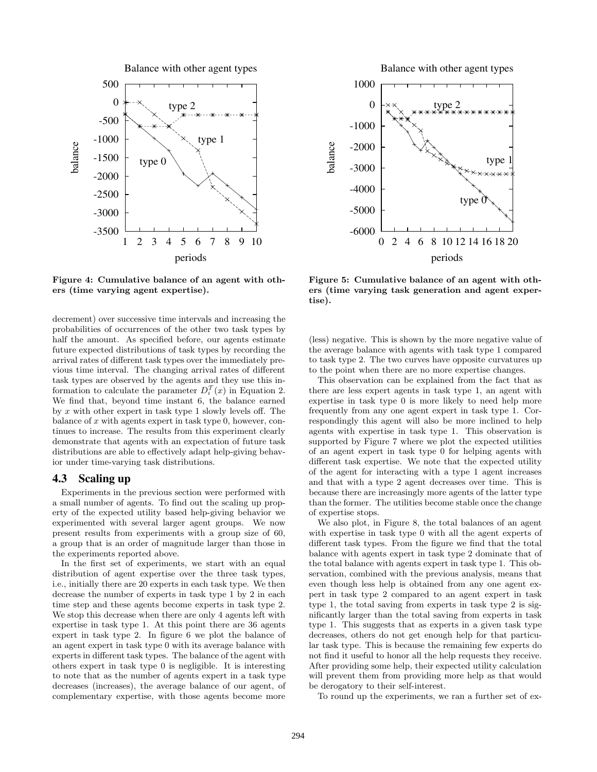

**Figure 4: Cumulative balance of an agent with others (time varying agent expertise).**

decrement) over successive time intervals and increasing the probabilities of occurrences of the other two task types by half the amount. As specified before, our agents estimate future expected distributions of task types by recording the arrival rates of different task types over the immediately previous time interval. The changing arrival rates of different task types are observed by the agents and they use this information to calculate the parameter  $D_i^T(x)$  in Equation 2. We find that, beyond time instant 6, the balance earned by  $x$  with other expert in task type 1 slowly levels off. The balance of x with agents expert in task type 0, however, continues to increase. The results from this experiment clearly demonstrate that agents with an expectation of future task distributions are able to effectively adapt help-giving behavior under time-varying task distributions.

#### **4.3 Scaling up**

Experiments in the previous section were performed with a small number of agents. To find out the scaling up property of the expected utility based help-giving behavior we experimented with several larger agent groups. We now present results from experiments with a group size of 60, a group that is an order of magnitude larger than those in the experiments reported above.

In the first set of experiments, we start with an equal distribution of agent expertise over the three task types, i.e., initially there are 20 experts in each task type. We then decrease the number of experts in task type 1 by 2 in each time step and these agents become experts in task type 2. We stop this decrease when there are only 4 agents left with expertise in task type 1. At this point there are 36 agents expert in task type 2. In figure 6 we plot the balance of an agent expert in task type 0 with its average balance with experts in different task types. The balance of the agent with others expert in task type 0 is negligible. It is interesting to note that as the number of agents expert in a task type decreases (increases), the average balance of our agent, of complementary expertise, with those agents become more

Balance with other agent types



**Figure 5: Cumulative balance of an agent with others (time varying task generation and agent expertise).**

(less) negative. This is shown by the more negative value of the average balance with agents with task type 1 compared to task type 2. The two curves have opposite curvatures up to the point when there are no more expertise changes.

This observation can be explained from the fact that as there are less expert agents in task type 1, an agent with expertise in task type 0 is more likely to need help more frequently from any one agent expert in task type 1. Correspondingly this agent will also be more inclined to help agents with expertise in task type 1. This observation is supported by Figure 7 where we plot the expected utilities of an agent expert in task type 0 for helping agents with different task expertise. We note that the expected utility of the agent for interacting with a type 1 agent increases and that with a type 2 agent decreases over time. This is because there are increasingly more agents of the latter type than the former. The utilities become stable once the change of expertise stops.

We also plot, in Figure 8, the total balances of an agent with expertise in task type 0 with all the agent experts of different task types. From the figure we find that the total balance with agents expert in task type 2 dominate that of the total balance with agents expert in task type 1. This observation, combined with the previous analysis, means that even though less help is obtained from any one agent expert in task type 2 compared to an agent expert in task type 1, the total saving from experts in task type 2 is significantly larger than the total saving from experts in task type 1. This suggests that as experts in a given task type decreases, others do not get enough help for that particular task type. This is because the remaining few experts do not find it useful to honor all the help requests they receive. After providing some help, their expected utility calculation will prevent them from providing more help as that would be derogatory to their self-interest.

To round up the experiments, we ran a further set of ex-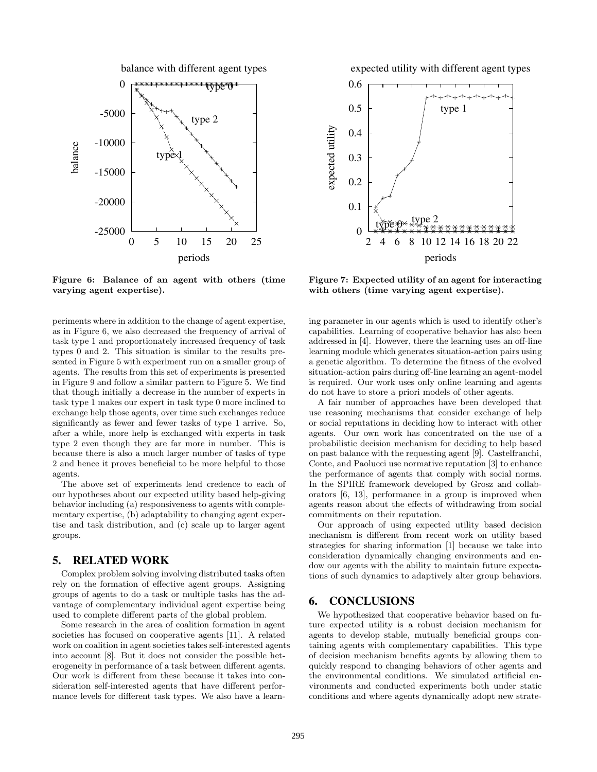



**Figure 6: Balance of an agent with others (time varying agent expertise).**

periments where in addition to the change of agent expertise, as in Figure 6, we also decreased the frequency of arrival of task type 1 and proportionately increased frequency of task types 0 and 2. This situation is similar to the results presented in Figure 5 with experiment run on a smaller group of agents. The results from this set of experiments is presented in Figure 9 and follow a similar pattern to Figure 5. We find that though initially a decrease in the number of experts in task type 1 makes our expert in task type 0 more inclined to exchange help those agents, over time such exchanges reduce significantly as fewer and fewer tasks of type 1 arrive. So, after a while, more help is exchanged with experts in task type 2 even though they are far more in number. This is because there is also a much larger number of tasks of type 2 and hence it proves beneficial to be more helpful to those agents.

The above set of experiments lend credence to each of our hypotheses about our expected utility based help-giving behavior including (a) responsiveness to agents with complementary expertise, (b) adaptability to changing agent expertise and task distribution, and (c) scale up to larger agent groups.

#### **5. RELATED WORK**

Complex problem solving involving distributed tasks often rely on the formation of effective agent groups. Assigning groups of agents to do a task or multiple tasks has the advantage of complementary individual agent expertise being used to complete different parts of the global problem.

Some research in the area of coalition formation in agent societies has focused on cooperative agents [11]. A related work on coalition in agent societies takes self-interested agents into account [8]. But it does not consider the possible heterogeneity in performance of a task between different agents. Our work is different from these because it takes into consideration self-interested agents that have different performance levels for different task types. We also have a learnexpected utility with different agent types



**Figure 7: Expected utility of an agent for interacting with others (time varying agent expertise).**

ing parameter in our agents which is used to identify other's capabilities. Learning of cooperative behavior has also been addressed in [4]. However, there the learning uses an off-line learning module which generates situation-action pairs using a genetic algorithm. To determine the fitness of the evolved situation-action pairs during off-line learning an agent-model is required. Our work uses only online learning and agents do not have to store a priori models of other agents.

A fair number of approaches have been developed that use reasoning mechanisms that consider exchange of help or social reputations in deciding how to interact with other agents. Our own work has concentrated on the use of a probabilistic decision mechanism for deciding to help based on past balance with the requesting agent [9]. Castelfranchi, Conte, and Paolucci use normative reputation [3] to enhance the performance of agents that comply with social norms. In the SPIRE framework developed by Grosz and collaborators [6, 13], performance in a group is improved when agents reason about the effects of withdrawing from social commitments on their reputation.

Our approach of using expected utility based decision mechanism is different from recent work on utility based strategies for sharing information [1] because we take into consideration dynamically changing environments and endow our agents with the ability to maintain future expectations of such dynamics to adaptively alter group behaviors.

#### **6. CONCLUSIONS**

We hypothesized that cooperative behavior based on future expected utility is a robust decision mechanism for agents to develop stable, mutually beneficial groups containing agents with complementary capabilities. This type of decision mechanism benefits agents by allowing them to quickly respond to changing behaviors of other agents and the environmental conditions. We simulated artificial environments and conducted experiments both under static conditions and where agents dynamically adopt new strate-